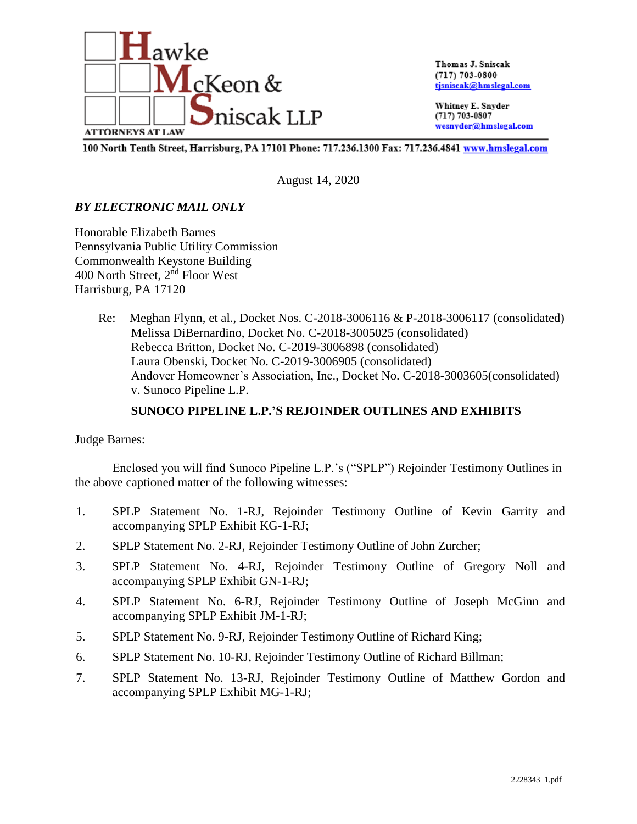

Thomas J. Sniscak  $(717) 703 - 0800$ tjsniscak@hmslegal.com

Whitney E. Snyder  $(717) 703 - 0807$ wesnyder@hmslegal.com

100 North Tenth Street, Harrisburg, PA 17101 Phone: 717.236.1300 Fax: 717.236.4841 www.hmslegal.com

August 14, 2020

# *BY ELECTRONIC MAIL ONLY*

Honorable Elizabeth Barnes Pennsylvania Public Utility Commission Commonwealth Keystone Building 400 North Street, 2nd Floor West Harrisburg, PA 17120

> Re: Meghan Flynn, et al., Docket Nos. C-2018-3006116 & P-2018-3006117 (consolidated) Melissa DiBernardino, Docket No. C-2018-3005025 (consolidated) Rebecca Britton, Docket No. C-2019-3006898 (consolidated) Laura Obenski, Docket No. C-2019-3006905 (consolidated) Andover Homeowner's Association, Inc., Docket No. C-2018-3003605(consolidated) v. Sunoco Pipeline L.P.

# **SUNOCO PIPELINE L.P.'S REJOINDER OUTLINES AND EXHIBITS**

## Judge Barnes:

Enclosed you will find Sunoco Pipeline L.P.'s ("SPLP") Rejoinder Testimony Outlines in the above captioned matter of the following witnesses:

- 1. SPLP Statement No. 1-RJ, Rejoinder Testimony Outline of Kevin Garrity and accompanying SPLP Exhibit KG-1-RJ;
- 2. SPLP Statement No. 2-RJ, Rejoinder Testimony Outline of John Zurcher;
- 3. SPLP Statement No. 4-RJ, Rejoinder Testimony Outline of Gregory Noll and accompanying SPLP Exhibit GN-1-RJ;
- 4. SPLP Statement No. 6-RJ, Rejoinder Testimony Outline of Joseph McGinn and accompanying SPLP Exhibit JM-1-RJ;
- 5. SPLP Statement No. 9-RJ, Rejoinder Testimony Outline of Richard King;
- 6. SPLP Statement No. 10-RJ, Rejoinder Testimony Outline of Richard Billman;
- 7. SPLP Statement No. 13-RJ, Rejoinder Testimony Outline of Matthew Gordon and accompanying SPLP Exhibit MG-1-RJ;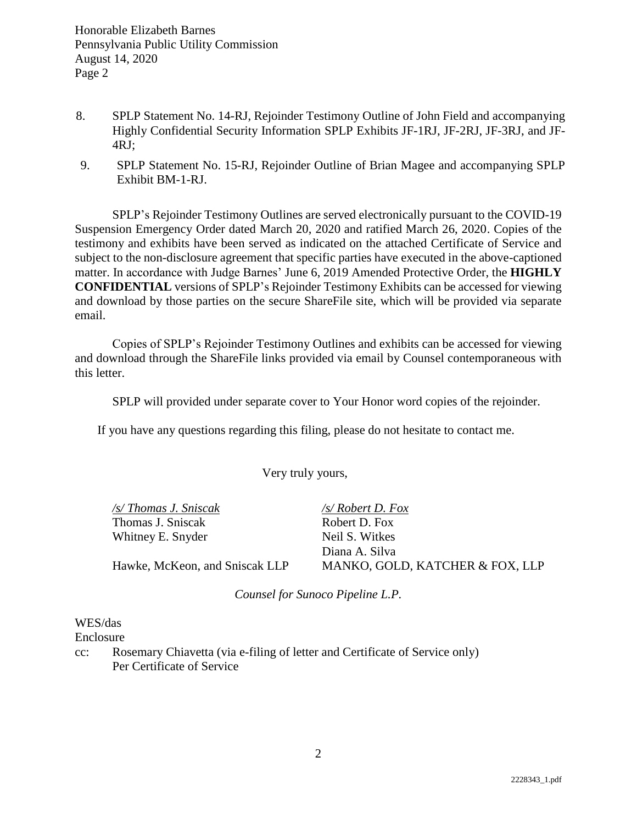- 8. SPLP Statement No. 14-RJ, Rejoinder Testimony Outline of John Field and accompanying Highly Confidential Security Information SPLP Exhibits JF-1RJ, JF-2RJ, JF-3RJ, and JF-4RJ;
- 9. SPLP Statement No. 15-RJ, Rejoinder Outline of Brian Magee and accompanying SPLP Exhibit BM-1-RJ.

SPLP's Rejoinder Testimony Outlines are served electronically pursuant to the COVID-19 Suspension Emergency Order dated March 20, 2020 and ratified March 26, 2020. Copies of the testimony and exhibits have been served as indicated on the attached Certificate of Service and subject to the non-disclosure agreement that specific parties have executed in the above-captioned matter. In accordance with Judge Barnes' June 6, 2019 Amended Protective Order, the **HIGHLY CONFIDENTIAL** versions of SPLP's Rejoinder Testimony Exhibits can be accessed for viewing and download by those parties on the secure ShareFile site, which will be provided via separate email.

Copies of SPLP's Rejoinder Testimony Outlines and exhibits can be accessed for viewing and download through the ShareFile links provided via email by Counsel contemporaneous with this letter.

SPLP will provided under separate cover to Your Honor word copies of the rejoinder.

If you have any questions regarding this filing, please do not hesitate to contact me.

Very truly yours,

*/s/ Thomas J. Sniscak /s/ Robert D. Fox* Thomas J. Sniscak Robert D. Fox Whitney E. Snyder Neil S. Witkes

Diana A. Silva Hawke, McKeon, and Sniscak LLP MANKO, GOLD, KATCHER & FOX, LLP

*Counsel for Sunoco Pipeline L.P.*

## WES/das

Enclosure

cc: Rosemary Chiavetta (via e-filing of letter and Certificate of Service only) Per Certificate of Service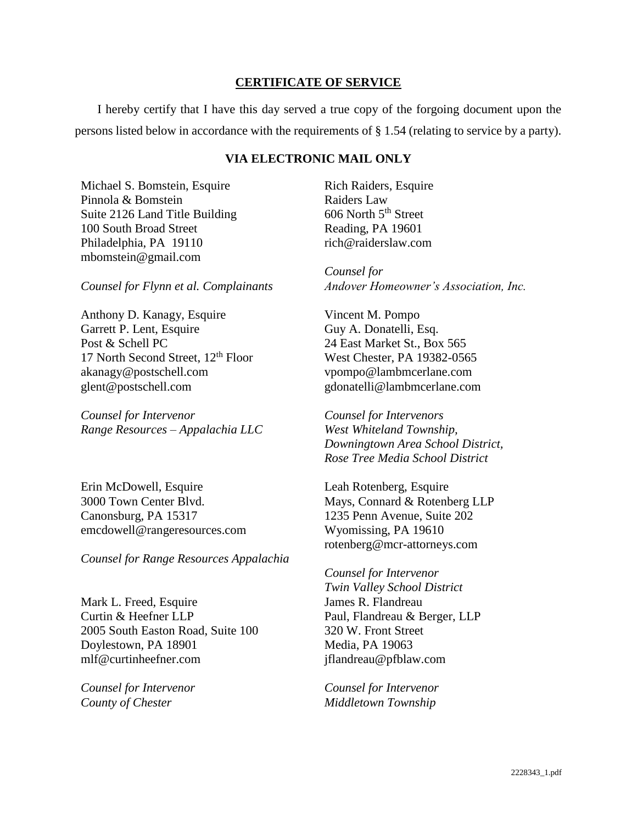## **CERTIFICATE OF SERVICE**

I hereby certify that I have this day served a true copy of the forgoing document upon the persons listed below in accordance with the requirements of § 1.54 (relating to service by a party).

## **VIA ELECTRONIC MAIL ONLY**

Michael S. Bomstein, Esquire Pinnola & Bomstein Suite 2126 Land Title Building 100 South Broad Street Philadelphia, PA 19110 mbomstein@gmail.com

*Counsel for Flynn et al. Complainants*

Anthony D. Kanagy, Esquire Garrett P. Lent, Esquire Post & Schell PC 17 North Second Street, 12<sup>th</sup> Floor akanagy@postschell.com glent@postschell.com

*Counsel for Intervenor Range Resources – Appalachia LLC*

Erin McDowell, Esquire 3000 Town Center Blvd. Canonsburg, PA 15317 emcdowell@rangeresources.com

*Counsel for Range Resources Appalachia*

Mark L. Freed, Esquire Curtin & Heefner LLP 2005 South Easton Road, Suite 100 Doylestown, PA 18901 mlf@curtinheefner.com

*Counsel for Intervenor County of Chester*

Rich Raiders, Esquire Raiders Law 606 North 5th Street Reading, PA 19601 rich@raiderslaw.com

*Counsel for Andover Homeowner's Association, Inc.*

Vincent M. Pompo Guy A. Donatelli, Esq. 24 East Market St., Box 565 West Chester, PA 19382-0565 vpompo@lambmcerlane.com gdonatelli@lambmcerlane.com

*Counsel for Intervenors West Whiteland Township, Downingtown Area School District, Rose Tree Media School District*

Leah Rotenberg, Esquire Mays, Connard & Rotenberg LLP 1235 Penn Avenue, Suite 202 Wyomissing, PA 19610 rotenberg@mcr-attorneys.com

*Counsel for Intervenor Twin Valley School District* James R. Flandreau Paul, Flandreau & Berger, LLP 320 W. Front Street Media, PA 19063 jflandreau@pfblaw.com

*Counsel for Intervenor Middletown Township*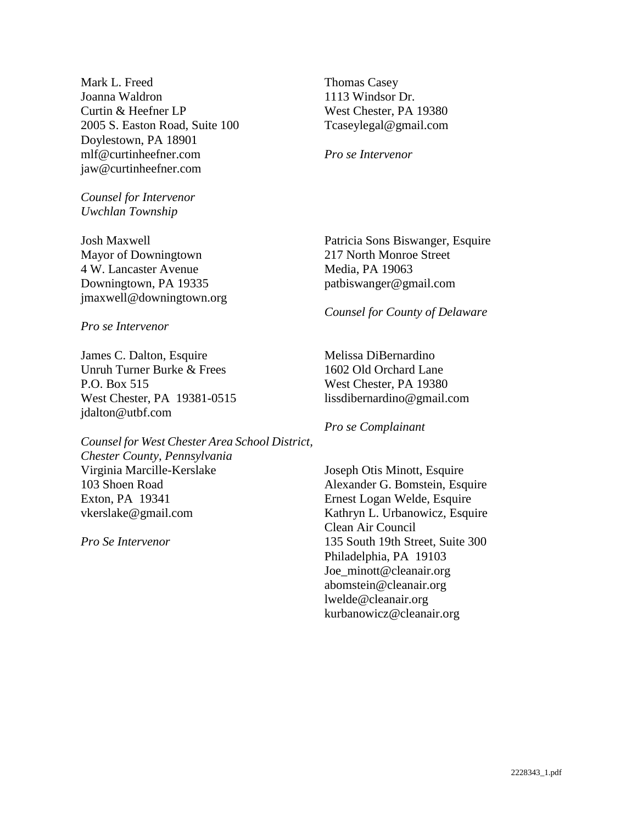Mark L. Freed Joanna Waldron Curtin & Heefner LP 2005 S. Easton Road, Suite 100 Doylestown, PA 18901 mlf@curtinheefner.com jaw@curtinheefner.com

*Counsel for Intervenor Uwchlan Township*

Josh Maxwell Mayor of Downingtown 4 W. Lancaster Avenue Downingtown, PA 19335 jmaxwell@downingtown.org

*Pro se Intervenor*

James C. Dalton, Esquire Unruh Turner Burke & Frees P.O. Box 515 West Chester, PA 19381-0515 jdalton@utbf.com

*Counsel for West Chester Area School District, Chester County, Pennsylvania* Virginia Marcille-Kerslake 103 Shoen Road Exton, PA 19341 vkerslake@gmail.com

*Pro Se Intervenor*

Thomas Casey 1113 Windsor Dr. West Chester, PA 19380 Tcaseylegal@gmail.com

*Pro se Intervenor*

Patricia Sons Biswanger, Esquire 217 North Monroe Street Media, PA 19063 patbiswanger@gmail.com

#### *Counsel for County of Delaware*

Melissa DiBernardino 1602 Old Orchard Lane West Chester, PA 19380 lissdibernardino@gmail.com

*Pro se Complainant*

Joseph Otis Minott, Esquire Alexander G. Bomstein, Esquire Ernest Logan Welde, Esquire Kathryn L. Urbanowicz, Esquire Clean Air Council 135 South 19th Street, Suite 300 Philadelphia, PA 19103 Joe\_minott@cleanair.org abomstein@cleanair.org lwelde@cleanair.org kurbanowicz@cleanair.org